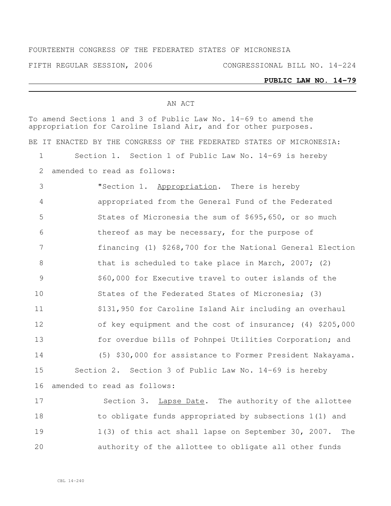## FOURTEENTH CONGRESS OF THE FEDERATED STATES OF MICRONESIA

FIFTH REGULAR SESSION, 2006 CONGRESSIONAL BILL NO. 14-224

## **PUBLIC LAW NO. 14-79**

## AN ACT

To amend Sections 1 and 3 of Public Law No. 14-69 to amend the appropriation for Caroline Island Air, and for other purposes. BE IT ENACTED BY THE CONGRESS OF THE FEDERATED STATES OF MICRONESIA: Section 1. Section 1 of Public Law No. 14-69 is hereby amended to read as follows: "Section 1. Appropriation. There is hereby appropriated from the General Fund of the Federated States of Micronesia the sum of \$695,650, or so much thereof as may be necessary, for the purpose of financing (1) \$268,700 for the National General Election 8 that is scheduled to take place in March, 2007; (2) \$60,000 for Executive travel to outer islands of the States of the Federated States of Micronesia; (3) \$131,950 for Caroline Island Air including an overhaul of key equipment and the cost of insurance; (4) \$205,000 13 for overdue bills of Pohnpei Utilities Corporation; and (5) \$30,000 for assistance to Former President Nakayama. Section 2. Section 3 of Public Law No. 14-69 is hereby amended to read as follows: 17 Section 3. Lapse Date. The authority of the allottee

 to obligate funds appropriated by subsections 1(1) and 1(3) of this act shall lapse on September 30, 2007. The authority of the allottee to obligate all other funds